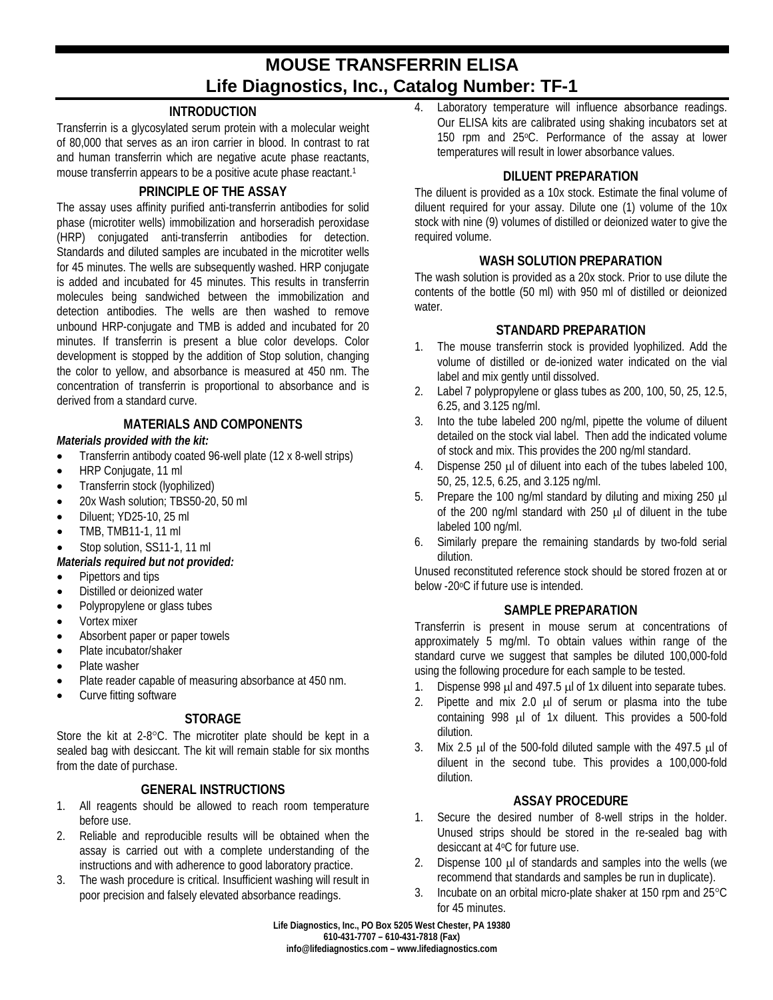# **MOUSE TRANSFERRIN ELISA Life Diagnostics, Inc., Catalog Number: TF-1**

# **INTRODUCTION**

Transferrin is a glycosylated serum protein with a molecular weight of 80,000 that serves as an iron carrier in blood. In contrast to rat and human transferrin which are negative acute phase reactants, mouse transferrin appears to be a positive acute phase reactant.1

## **PRINCIPLE OF THE ASSAY**

The assay uses affinity purified anti-transferrin antibodies for solid phase (microtiter wells) immobilization and horseradish peroxidase (HRP) conjugated anti-transferrin antibodies for detection. Standards and diluted samples are incubated in the microtiter wells for 45 minutes. The wells are subsequently washed. HRP conjugate is added and incubated for 45 minutes. This results in transferrin molecules being sandwiched between the immobilization and detection antibodies. The wells are then washed to remove unbound HRP-conjugate and TMB is added and incubated for 20 minutes. If transferrin is present a blue color develops. Color development is stopped by the addition of Stop solution, changing the color to yellow, and absorbance is measured at 450 nm. The concentration of transferrin is proportional to absorbance and is derived from a standard curve.

### **MATERIALS AND COMPONENTS**

#### *Materials provided with the kit:*

- Transferrin antibody coated 96-well plate (12 x 8-well strips)
- HRP Conjugate, 11 ml
- Transferrin stock (lyophilized)
- 20x Wash solution; TBS50-20, 50 ml
- Diluent: YD25-10, 25 ml
- TMB, TMB11-1, 11 ml
- Stop solution, SS11-1, 11 ml

## *Materials required but not provided:*

- Pipettors and tips
- Distilled or deionized water
- Polypropylene or glass tubes
- Vortex mixer
- Absorbent paper or paper towels
- Plate incubator/shaker
- Plate washer
- Plate reader capable of measuring absorbance at 450 nm.
- Curve fitting software

#### **STORAGE**

Store the kit at 2-8°C. The microtiter plate should be kept in a sealed bag with desiccant. The kit will remain stable for six months from the date of purchase.

#### **GENERAL INSTRUCTIONS**

- 1. All reagents should be allowed to reach room temperature before use.
- 2. Reliable and reproducible results will be obtained when the assay is carried out with a complete understanding of the instructions and with adherence to good laboratory practice.
- 3. The wash procedure is critical. Insufficient washing will result in poor precision and falsely elevated absorbance readings.

4. Laboratory temperature will influence absorbance readings. Our ELISA kits are calibrated using shaking incubators set at 150 rpm and 25°C. Performance of the assay at lower temperatures will result in lower absorbance values.

### **DILUENT PREPARATION**

The diluent is provided as a 10x stock. Estimate the final volume of diluent required for your assay. Dilute one (1) volume of the 10x stock with nine (9) volumes of distilled or deionized water to give the required volume.

### **WASH SOLUTION PREPARATION**

The wash solution is provided as a 20x stock. Prior to use dilute the contents of the bottle (50 ml) with 950 ml of distilled or deionized water.

### **STANDARD PREPARATION**

- 1. The mouse transferrin stock is provided lyophilized. Add the volume of distilled or de-ionized water indicated on the vial label and mix gently until dissolved.
- 2. Label 7 polypropylene or glass tubes as 200, 100, 50, 25, 12.5, 6.25, and 3.125 ng/ml.
- 3. Into the tube labeled 200 ng/ml, pipette the volume of diluent detailed on the stock vial label. Then add the indicated volume of stock and mix. This provides the 200 ng/ml standard.
- 4. Dispense 250 µl of diluent into each of the tubes labeled 100, 50, 25, 12.5, 6.25, and 3.125 ng/ml.
- 5. Prepare the 100 ng/ml standard by diluting and mixing 250  $\mu$ l of the 200 ng/ml standard with 250 µl of diluent in the tube labeled 100 ng/ml.
- 6. Similarly prepare the remaining standards by two-fold serial dilution.

Unused reconstituted reference stock should be stored frozen at or below -20oC if future use is intended.

#### **SAMPLE PREPARATION**

Transferrin is present in mouse serum at concentrations of approximately 5 mg/ml. To obtain values within range of the standard curve we suggest that samples be diluted 100,000-fold using the following procedure for each sample to be tested.

- 1. Dispense 998 µl and 497.5 µl of 1x diluent into separate tubes.
- 2. Pipette and mix 2.0 µl of serum or plasma into the tube containing 998 µl of 1x diluent. This provides a 500-fold dilution.
- 3. Mix 2.5  $\mu$  of the 500-fold diluted sample with the 497.5  $\mu$  of diluent in the second tube. This provides a 100,000-fold dilution.

#### **ASSAY PROCEDURE**

- 1. Secure the desired number of 8-well strips in the holder. Unused strips should be stored in the re-sealed bag with desiccant at 4oC for future use.
- 2. Dispense 100 µl of standards and samples into the wells (we recommend that standards and samples be run in duplicate).
- 3. Incubate on an orbital micro-plate shaker at 150 rpm and 25°C for 45 minutes.

**Life Diagnostics, Inc., PO Box 5205 West Chester, PA 19380 610-431-7707 – 610-431-7818 (Fax) info@lifediagnostics.com – www.lifediagnostics.com**